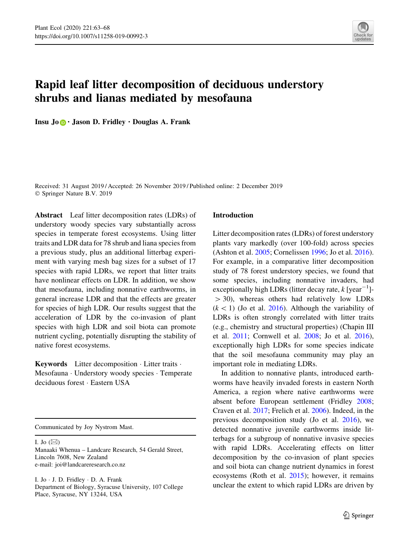

# Rapid leaf litter decomposition of deciduous understory shrubs and lianas mediated by mesofauna

Insu Jo **.** Jason D. Fridley . Douglas A. Frank

Received: 31 August 2019 / Accepted: 26 November 2019 / Published online: 2 December 2019 © Springer Nature B.V. 2019

Abstract Leaf litter decomposition rates (LDRs) of understory woody species vary substantially across species in temperate forest ecosystems. Using litter traits and LDR data for 78 shrub and liana species from a previous study, plus an additional litterbag experiment with varying mesh bag sizes for a subset of 17 species with rapid LDRs, we report that litter traits have nonlinear effects on LDR. In addition, we show that mesofauna, including nonnative earthworms, in general increase LDR and that the effects are greater for species of high LDR. Our results suggest that the acceleration of LDR by the co-invasion of plant species with high LDR and soil biota can promote nutrient cycling, potentially disrupting the stability of native forest ecosystems.

Keywords Litter decomposition · Litter traits · Mesofauna - Understory woody species - Temperate deciduous forest - Eastern USA

Communicated by Joy Nystrom Mast.

I. Jo  $(\boxtimes)$ Manaaki Whenua – Landcare Research, 54 Gerald Street, Lincoln 7608, New Zealand e-mail: joi@landcareresearch.co.nz

I. Jo - J. D. Fridley - D. A. Frank Department of Biology, Syracuse University, 107 College Place, Syracuse, NY 13244, USA

## Introduction

Litter decomposition rates (LDRs) of forest understory plants vary markedly (over 100-fold) across species (Ashton et al. [2005](#page-4-0); Cornelissen [1996](#page-4-0); Jo et al. [2016](#page-5-0)). For example, in a comparative litter decomposition study of 78 forest understory species, we found that some species, including nonnative invaders, had exceptionally high LDRs (litter decay rate,  $k$  [year<sup>-1</sup>]- $>$  30), whereas others had relatively low LDRs  $(k \lt 1)$  (Jo et al. [2016](#page-5-0)). Although the variability of LDRs is often strongly correlated with litter traits (e.g., chemistry and structural properties) (Chapin III et al. [2011](#page-4-0); Cornwell et al. [2008](#page-4-0); Jo et al. [2016](#page-5-0)), exceptionally high LDRs for some species indicate that the soil mesofauna community may play an important role in mediating LDRs.

In addition to nonnative plants, introduced earthworms have heavily invaded forests in eastern North America, a region where native earthworms were absent before European settlement (Fridley [2008](#page-5-0); Craven et al. [2017;](#page-4-0) Frelich et al. [2006\)](#page-4-0). Indeed, in the previous decomposition study (Jo et al. [2016](#page-5-0)), we detected nonnative juvenile earthworms inside litterbags for a subgroup of nonnative invasive species with rapid LDRs. Accelerating effects on litter decomposition by the co-invasion of plant species and soil biota can change nutrient dynamics in forest ecosystems (Roth et al. [2015](#page-5-0)); however, it remains unclear the extent to which rapid LDRs are driven by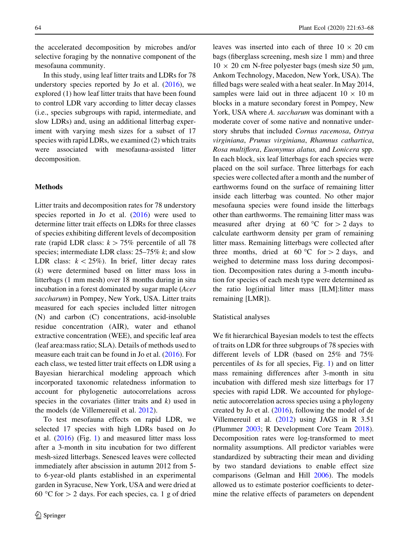the accelerated decomposition by microbes and/or selective foraging by the nonnative component of the mesofauna community.

In this study, using leaf litter traits and LDRs for 78 understory species reported by Jo et al.  $(2016)$  $(2016)$  $(2016)$ , we explored (1) how leaf litter traits that have been found to control LDR vary according to litter decay classes (i.e., species subgroups with rapid, intermediate, and slow LDRs) and, using an additional litterbag experiment with varying mesh sizes for a subset of 17 species with rapid LDRs, we examined (2) which traits were associated with mesofauna-assisted litter decomposition.

#### Methods

Litter traits and decomposition rates for 78 understory species reported in Jo et al.  $(2016)$  $(2016)$  were used to determine litter trait effects on LDRs for three classes of species exhibiting different levels of decomposition rate (rapid LDR class:  $k > 75\%$  percentile of all 78 species; intermediate LDR class:  $25-75\%$  k; and slow LDR class:  $k < 25\%$ ). In brief, litter decay rates (k) were determined based on litter mass loss in litterbags (1 mm mesh) over 18 months during in situ incubation in a forest dominated by sugar maple (Acer saccharum) in Pompey, New York, USA. Litter traits measured for each species included litter nitrogen (N) and carbon (C) concentrations, acid-insoluble residue concentration (AIR), water and ethanol extractive concentration (WEE), and specific leaf area (leaf area:mass ratio; SLA). Details of methods used to measure each trait can be found in Jo et al. [\(2016](#page-5-0)). For each class, we tested litter trait effects on LDR using a Bayesian hierarchical modeling approach which incorporated taxonomic relatedness information to account for phylogenetic autocorrelations across species in the covariates (litter traits and  $k$ ) used in the models (de Villemereuil et al. [2012](#page-4-0)).

To test mesofauna effects on rapid LDR, we selected 17 species with high LDRs based on Jo et al. ([2016\)](#page-5-0) (Fig. [1\)](#page-2-0) and measured litter mass loss after a 3-month in situ incubation for two different mesh-sized litterbags. Senesced leaves were collected immediately after abscission in autumn 2012 from 5 to 6-year-old plants established in an experimental garden in Syracuse, New York, USA and were dried at 60 °C for  $> 2$  days. For each species, ca. 1 g of dried

leaves was inserted into each of three  $10 \times 20$  cm bags (fiberglass screening, mesh size 1 mm) and three  $10 \times 20$  cm N-free polyester bags (mesh size 50 µm, Ankom Technology, Macedon, New York, USA). The filled bags were sealed with a heat sealer. In May 2014, samples were laid out in three adjacent  $10 \times 10$  m blocks in a mature secondary forest in Pompey, New York, USA where A. saccharum was dominant with a moderate cover of some native and nonnative understory shrubs that included Cornus racemosa, Ostrya virginiana, Prunus virginiana, Rhamnus cathartica, Rosa multiflora, Euonymus alatus, and Lonicera spp. In each block, six leaf litterbags for each species were placed on the soil surface. Three litterbags for each species were collected after a month and the number of earthworms found on the surface of remaining litter inside each litterbag was counted. No other major mesofauna species were found inside the litterbags other than earthworms. The remaining litter mass was measured after drying at 60 °C for  $> 2$  days to calculate earthworm density per gram of remaining litter mass. Remaining litterbags were collected after three months, dried at 60 °C for  $>$  2 days, and weighed to determine mass loss during decomposition. Decomposition rates during a 3-month incubation for species of each mesh type were determined as the ratio log(initial litter mass [ILM]:litter mass remaining [LMR]).

#### Statistical analyses

We fit hierarchical Bayesian models to test the effects of traits on LDR for three subgroups of 78 species with different levels of LDR (based on 25% and 75% percentiles of ks for all species, Fig. [1](#page-2-0)) and on litter mass remaining differences after 3-month in situ incubation with differed mesh size litterbags for 17 species with rapid LDR. We accounted for phylogenetic autocorrelation across species using a phylogeny created by Jo et al. ([2016\)](#page-5-0), following the model of de Villemereuil et al. [\(2012](#page-4-0)) using JAGS in R 3.51 (Plummer [2003;](#page-5-0) R Development Core Team [2018](#page-5-0)). Decomposition rates were log-transformed to meet normality assumptions. All predictor variables were standardized by subtracting their mean and dividing by two standard deviations to enable effect size comparisons (Gelman and Hill [2006](#page-5-0)). The models allowed us to estimate posterior coefficients to determine the relative effects of parameters on dependent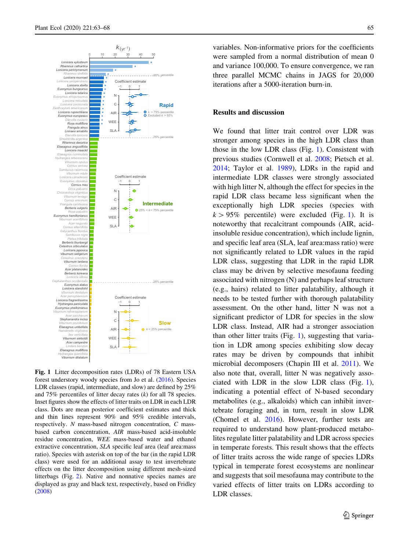<span id="page-2-0"></span>

Fig. 1 Litter decomposition rates (LDRs) of 78 Eastern USA forest understory woody species from Jo et al. ([2016\)](#page-5-0). Species LDR classes (rapid, intermediate, and slow) are defined by 25% and 75% percentiles of litter decay rates  $(k)$  for all 78 species. Inset figures show the effects of litter traits on LDR in each LDR class. Dots are mean posterior coefficient estimates and thick and thin lines represent 90% and 95% credible intervals, respectively. N mass-based nitrogen concentration, C massbased carbon concentration, AIR mass-based acid-insoluble residue concentration, WEE mass-based water and ethanol extractive concentration, SLA specific leaf area (leaf area:mass ratio). Species with asterisk on top of the bar (in the rapid LDR class) were used for an additional assay to test invertebrate effects on the litter decomposition using different mesh-sized litterbags (Fig. [2](#page-3-0)). Native and nonnative species names are displayed as gray and black text, respectively, based on Fridley ([2008\)](#page-5-0)

variables. Non-informative priors for the coefficients were sampled from a normal distribution of mean 0 and variance 100,000. To ensure convergence, we ran three parallel MCMC chains in JAGS for 20,000 iterations after a 5000-iteration burn-in.

### Results and discussion

We found that litter trait control over LDR was stronger among species in the high LDR class than those in the low LDR class (Fig. 1). Consistent with previous studies (Cornwell et al. [2008](#page-4-0); Pietsch et al. [2014;](#page-5-0) Taylor et al. [1989](#page-5-0)), LDRs in the rapid and intermediate LDR classes were strongly associated with high litter N, although the effect for species in the rapid LDR class became less significant when the exceptionally high LDR species (species with  $k > 95\%$  percentile) were excluded (Fig. 1). It is noteworthy that recalcitrant compounds (AIR, acidinsoluble residue concentration), which include lignin, and specific leaf area (SLA, leaf area:mass ratio) were not significantly related to LDR values in the rapid LDR class, suggesting that LDR in the rapid LDR class may be driven by selective mesofauna feeding associated with nitrogen (N) and perhaps leaf structure (e.g., hairs) related to litter palatability, although it needs to be tested further with thorough palatability assessment. On the other hand, litter N was not a significant predictor of LDR for species in the slow LDR class. Instead, AIR had a stronger association than other litter traits (Fig. 1), suggesting that variation in LDR among species exhibiting slow decay rates may be driven by compounds that inhibit microbial decomposers (Chapin III et al. [2011\)](#page-4-0). We also note that, overall, litter N was negatively associated with LDR in the slow LDR class (Fig. 1), indicating a potential effect of N-based secondary metabolites (e.g., alkaloids) which can inhibit invertebrate foraging and, in turn, result in slow LDR (Chomel et al. [2016\)](#page-4-0). However, further tests are required to understand how plant-produced metabolites regulate litter palatability and LDR across species in temperate forests. This result shows that the effects of litter traits across the wide range of species LDRs typical in temperate forest ecosystems are nonlinear and suggests that soil mesofauna may contribute to the varied effects of litter traits on LDRs according to LDR classes.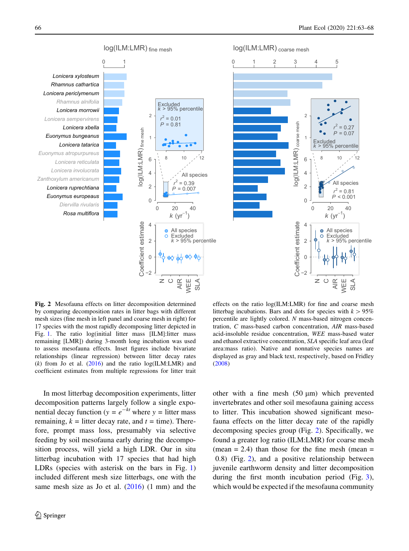<span id="page-3-0"></span>

Fig. 2 Mesofauna effects on litter decomposition determined by comparing decomposition rates in litter bags with different mesh sizes (fine mesh in left panel and coarse mesh in right) for 17 species with the most rapidly decomposing litter depicted in Fig. [1](#page-2-0). The ratio log(initial litter mass [ILM]:litter mass remaining [LMR]) during 3-month long incubation was used to assess mesofauna effects. Inset figures include bivariate relationships (linear regression) between litter decay rates (k) from Jo et al.  $(2016)$  $(2016)$  and the ratio log(ILM:LMR) and coefficient estimates from multiple regressions for litter trait

In most litterbag decomposition experiments, litter decomposition patterns largely follow a single exponential decay function ( $y = e^{-kt}$  where  $y =$  litter mass remaining,  $k =$  litter decay rate, and  $t =$  time). Therefore, prompt mass loss, presumably via selective feeding by soil mesofauna early during the decomposition process, will yield a high LDR. Our in situ litterbag incubation with 17 species that had high LDRs (species with asterisk on the bars in Fig. [1\)](#page-2-0) included different mesh size litterbags, one with the same mesh size as Jo et al. ([2016\)](#page-5-0) (1 mm) and the

effects on the ratio log(ILM:LMR) for fine and coarse mesh litterbag incubations. Bars and dots for species with  $k > 95\%$ percentile are lightly colored. N mass-based nitrogen concentration, C mass-based carbon concentration, AIR mass-based acid-insoluble residue concentration, WEE mass-based water and ethanol extractive concentration, SLA specific leaf area (leaf area:mass ratio). Native and nonnative species names are displayed as gray and black text, respectively, based on Fridley ([2008\)](#page-5-0)

other with a fine mesh  $(50 \mu m)$  which prevented invertebrates and other soil mesofauna gaining access to litter. This incubation showed significant mesofauna effects on the litter decay rate of the rapidly decomposing species group (Fig. 2). Specifically, we found a greater log ratio (ILM:LMR) for coarse mesh (mean  $= 2.4$ ) than those for the fine mesh (mean  $=$ 0.8) (Fig. 2), and a positive relationship between juvenile earthworm density and litter decomposition during the first month incubation period (Fig. [3](#page-4-0)), which would be expected if the mesofauna community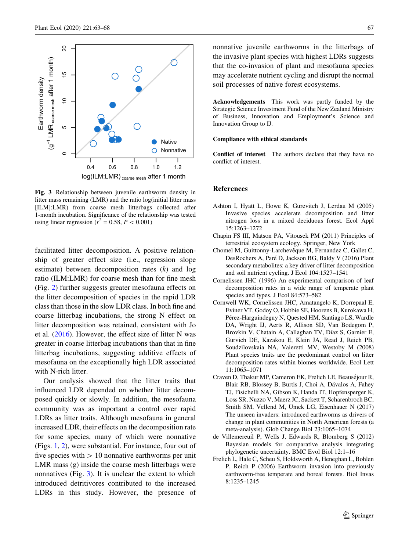<span id="page-4-0"></span>

Fig. 3 Relationship between juvenile earthworm density in litter mass remaining (LMR) and the ratio log(initial litter mass [ILM]:LMR) from coarse mesh litterbags collected after 1-month incubation. Significance of the relationship was tested using linear regression ( $r^2 = 0.58$ ,  $P < 0.001$ )

facilitated litter decomposition. A positive relationship of greater effect size (i.e., regression slope estimate) between decomposition rates (k) and log ratio (ILM:LMR) for coarse mesh than for fine mesh (Fig. [2](#page-3-0)) further suggests greater mesofauna effects on the litter decomposition of species in the rapid LDR class than those in the slow LDR class. In both fine and coarse litterbag incubations, the strong N effect on litter decomposition was retained, consistent with Jo et al. [\(2016\)](#page-5-0). However, the effect size of litter N was greater in coarse litterbag incubations than that in fine litterbag incubations, suggesting additive effects of mesofauna on the exceptionally high LDR associated with N-rich litter.

Our analysis showed that the litter traits that influenced LDR depended on whether litter decomposed quickly or slowly. In addition, the mesofauna community was as important a control over rapid LDRs as litter traits. Although mesofauna in general increased LDR, their effects on the decomposition rate for some species, many of which were nonnative (Figs. [1](#page-2-0), [2](#page-3-0)), were substantial. For instance, four out of five species with  $> 10$  nonnative earthworms per unit LMR mass (g) inside the coarse mesh litterbags were nonnatives (Fig. 3). It is unclear the extent to which introduced detritivores contributed to the increased LDRs in this study. However, the presence of

nonnative juvenile earthworms in the litterbags of the invasive plant species with highest LDRs suggests that the co-invasion of plant and mesofauna species may accelerate nutrient cycling and disrupt the normal soil processes of native forest ecosystems.

Acknowledgements This work was partly funded by the Strategic Science Investment Fund of the New Zealand Ministry of Business, Innovation and Employment's Science and Innovation Group to IJ.

#### Compliance with ethical standards

Conflict of interest The authors declare that they have no conflict of interest.

#### References

- Ashton I, Hyatt L, Howe K, Gurevitch J, Lerdau M (2005) Invasive species accelerate decomposition and litter nitrogen loss in a mixed deciduous forest. Ecol Appl 15:1263–1272
- Chapin FS III, Matson PA, Vitousek PM (2011) Principles of terrestrial ecosystem ecology. Springer, New York
- Chomel M, Guittonny-Larchevêque M, Fernandez C, Gallet C, DesRochers A, Paré D, Jackson BG, Baldy V (2016) Plant secondary metabolites: a key driver of litter decomposition and soil nutrient cycling. J Ecol 104:1527–1541
- Cornelissen JHC (1996) An experimental comparison of leaf decomposition rates in a wide range of temperate plant species and types. J Ecol 84:573–582
- Cornwell WK, Cornelissen JHC, Amatangelo K, Dorrepaal E, Eviner VT, Godoy O, Hobbie SE, Hoorens B, Kurokawa H, Pérez-Harguindeguy N, Quested HM, Santiago LS, Wardle DA, Wright IJ, Aerts R, Allison SD, Van Bodegom P, Brovkin V, Chatain A, Callaghan TV, Díaz S, Garnier E, Gurvich DE, Kazakou E, Klein JA, Read J, Reich PB, Soudzilovskaia NA, Vaieretti MV, Westoby M (2008) Plant species traits are the predominant control on litter decomposition rates within biomes worldwide. Ecol Lett 11:1065–1071
- Craven D, Thakur MP, Cameron EK, Frelich LE, Beauséjour R, Blair RB, Blossey B, Burtis J, Choi A, Dávalos A, Fahey TJ, Fisichelli NA, Gibson K, Handa IT, Hopfensperger K, Loss SR, Nuzzo V, Maerz JC, Sackett T, Scharenbroch BC, Smith SM, Vellend M, Umek LG, Eisenhauer N (2017) The unseen invaders: introduced earthworms as drivers of change in plant communities in North American forests (a meta-analysis). Glob Change Biol 23:1065–1074
- de Villemereuil P, Wells J, Edwards R, Blomberg S (2012) Bayesian models for comparative analysis integrating phylogenetic uncertainty. BMC Evol Biol 12:1–16
- Frelich L, Hale C, Scheu S, Holdsworth A, Heneghan L, Bohlen P, Reich P (2006) Earthworm invasion into previously earthworm-free temperate and boreal forests. Biol Invas 8:1235–1245